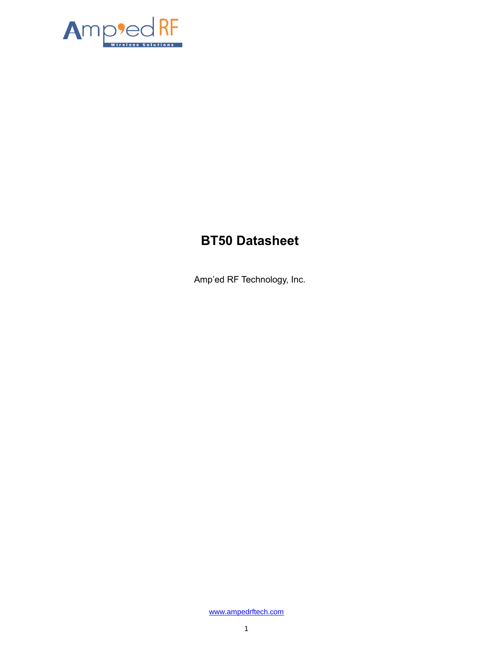

# **BT50 Datasheet**

Amp'ed RF Technology, Inc.

[www.ampedrftech.com](http://www.ampedrftech.com/)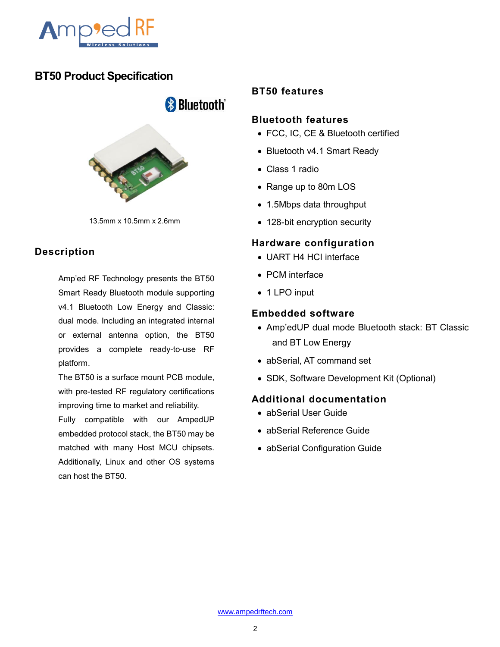

## **BT50 Product Specification**

**& Bluetooth**®

13.5mm x 10.5mm x 2.6mm

## **Description**

Amp'ed RF Technology presents the BT50 Smart Ready Bluetooth module supporting v4.1 Bluetooth Low Energy and Classic: dual mode. Including an integrated internal or external antenna option, the BT50 provides a complete ready-to-use RF platform.

The BT50 is a surface mount PCB module, with pre-tested RF regulatory certifications improving time to market and reliability.

Fully compatible with our AmpedUP embedded protocol stack, the BT50 may be matched with many Host MCU chipsets. Additionally, Linux and other OS systems can host the BT50.

### **BT50 features**

#### **Bluetooth features**

- FCC, IC, CE & Bluetooth certified
- Bluetooth v4.1 Smart Ready
- Class 1 radio
- Range up to 80m LOS
- 1.5Mbps data throughput
- 128-bit encryption security

#### **Hardware configuration**

- UART H4 HCI interface
- PCM interface
- 1 LPO input

#### **Embedded software**

- Amp'edUP dual mode Bluetooth stack: BT Classic and BT Low Energy
- abSerial, AT command set
- SDK, Software Development Kit (Optional)

### **Additional documentation**

- abSerial User Guide
- abSerial Reference Guide
- abSerial Configuration Guide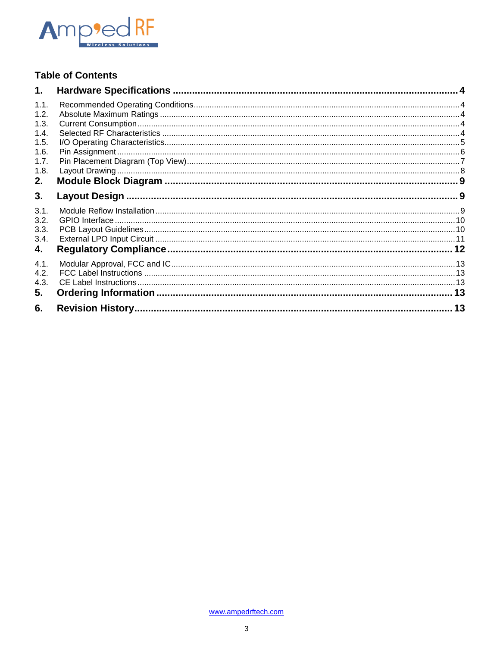

## **Table of Contents**

| 1.   |  |
|------|--|
| 1.1. |  |
| 1.2. |  |
| 1.3. |  |
| 1.4. |  |
| 1.5. |  |
| 1.6. |  |
| 1.7. |  |
| 1.8. |  |
| 2.   |  |
| 3.   |  |
| 3.1. |  |
| 3.2. |  |
| 3.3. |  |
| 3.4. |  |
| 4.   |  |
| 4.1. |  |
| 4.2. |  |
| 4.3. |  |
| 5.   |  |
| 6.   |  |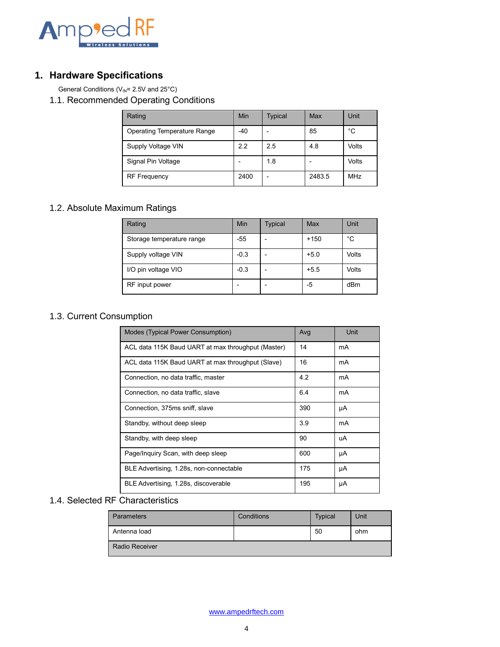

### <span id="page-3-0"></span>**1. Hardware Specifications**

General Conditions ( $V_{\text{IN}}$ = 2.5V and 25°C)

<span id="page-3-1"></span>1.1. Recommended Operating Conditions

| Rating                             | Min   | <b>Typical</b> | Max    | Unit       |
|------------------------------------|-------|----------------|--------|------------|
| <b>Operating Temperature Range</b> | $-40$ |                | 85     | °C         |
| Supply Voltage VIN                 | 2.2   | 2.5            | 4.8    | Volts      |
| Signal Pin Voltage                 |       | 1.8            |        | Volts      |
| <b>RF Frequency</b>                | 2400  | ٠              | 2483.5 | <b>MHz</b> |

## <span id="page-3-2"></span>1.2. Absolute Maximum Ratings

| Rating                    | Min    | <b>Typical</b> | Max    | Unit  |
|---------------------------|--------|----------------|--------|-------|
| Storage temperature range | $-55$  |                | $+150$ | °C    |
| Supply voltage VIN        | $-0.3$ |                | $+5.0$ | Volts |
| I/O pin voltage VIO       | $-0.3$ |                | $+5.5$ | Volts |
| RF input power            |        |                | -5     | dBm   |

## <span id="page-3-3"></span>1.3. Current Consumption

| Modes (Typical Power Consumption)                  | Avg | Unit |
|----------------------------------------------------|-----|------|
| ACL data 115K Baud UART at max throughput (Master) | 14  | mA   |
| ACL data 115K Baud UART at max throughput (Slave)  | 16  | mA   |
| Connection, no data traffic, master                | 4.2 | mA   |
| Connection, no data traffic, slave                 | 6.4 | mA   |
| Connection, 375ms sniff, slave                     | 390 | μA   |
| Standby, without deep sleep                        | 3.9 | mA   |
| Standby, with deep sleep                           | 90  | uA   |
| Page/Inquiry Scan, with deep sleep                 | 600 | μA   |
| BLE Advertising, 1.28s, non-connectable            | 175 | μA   |
| BLE Advertising, 1.28s, discoverable               | 195 | μA   |

## <span id="page-3-4"></span>1.4. Selected RF Characteristics

| <b>Parameters</b>     | Conditions | <b>Typical</b> | Unit |
|-----------------------|------------|----------------|------|
| Antenna load          |            | 50             | ohm  |
| <b>Radio Receiver</b> |            |                |      |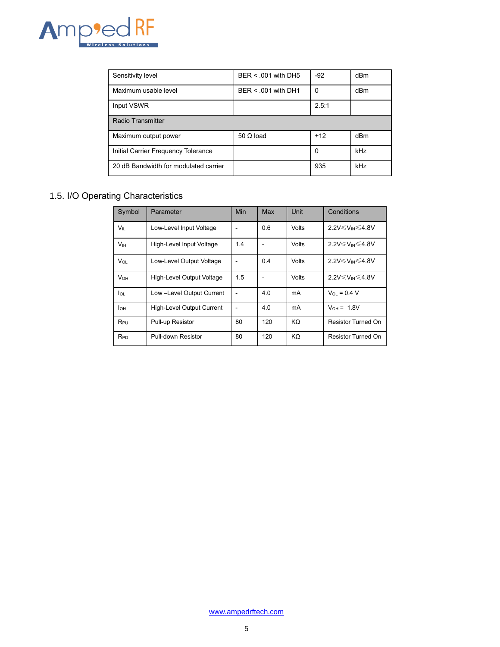

| Sensitivity level                     | BER < .001 with DH5   | $-92$ | dBm |
|---------------------------------------|-----------------------|-------|-----|
| Maximum usable level                  | $BER < .001$ with DH1 | 0     | dBm |
| Input VSWR                            |                       | 2.5:1 |     |
| Radio Transmitter                     |                       |       |     |
| Maximum output power                  | $50 \Omega$ load      | $+12$ | dBm |
| Initial Carrier Frequency Tolerance   |                       | 0     | kHz |
| 20 dB Bandwidth for modulated carrier |                       | 935   | kHz |

## <span id="page-4-0"></span>1.5. I/O Operating Characteristics

| Symbol          | Parameter                        | Min | Max | Unit  | Conditions                 |
|-----------------|----------------------------------|-----|-----|-------|----------------------------|
| $V_{\parallel}$ | Low-Level Input Voltage          |     | 0.6 | Volts | 2.2V≤V <sub>IN</sub> ≤4.8V |
| V <sub>IH</sub> | High-Level Input Voltage         | 1.4 |     | Volts | 2.2V≤V <sub>IN</sub> ≤4.8V |
| $V_{OL}$        | Low-Level Output Voltage         |     | 0.4 | Volts | 2.2V≤V <sub>IN</sub> ≤4.8V |
| $V_{OH}$        | High-Level Output Voltage        | 1.5 |     | Volts | 2.2V≤V <sub>IN</sub> ≤4.8V |
| lo∟             | Low-Level Output Current         |     | 4.0 | mA    | $V_{01} = 0.4 V$           |
| $I_{OH}$        | <b>High-Level Output Current</b> |     | 4.0 | mA    | $V_{OH} = 1.8V$            |
| $R_{PU}$        | Pull-up Resistor                 | 80  | 120 | KΩ    | Resistor Turned On         |
| <b>RPD</b>      | Pull-down Resistor               | 80  | 120 | KΩ    | Resistor Turned On         |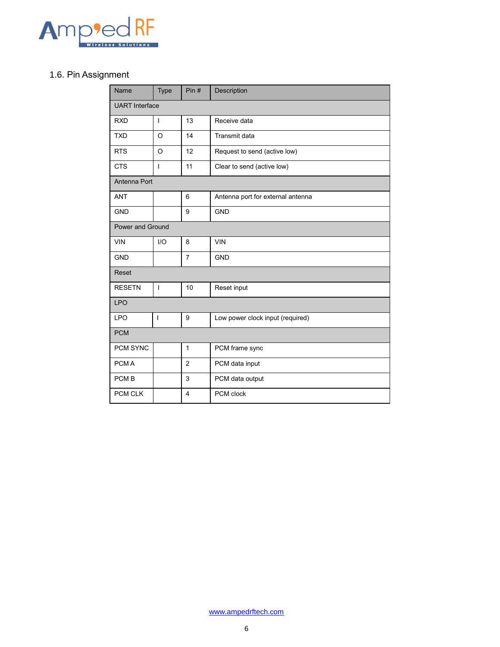

## <span id="page-5-0"></span>1.6. Pin Assignment

| Name                  | <b>Type</b>  | Pin#           | Description                       |  |  |
|-----------------------|--------------|----------------|-----------------------------------|--|--|
| <b>UART</b> Interface |              |                |                                   |  |  |
| <b>RXD</b>            | I            | 13             | Receive data                      |  |  |
| <b>TXD</b>            | $\Omega$     | 14             | Transmit data                     |  |  |
| <b>RTS</b>            | $\circ$      | 12             | Request to send (active low)      |  |  |
| <b>CTS</b>            | $\mathsf{I}$ | 11             | Clear to send (active low)        |  |  |
| Antenna Port          |              |                |                                   |  |  |
| <b>ANT</b>            |              | 6              | Antenna port for external antenna |  |  |
| <b>GND</b>            |              | 9              | <b>GND</b>                        |  |  |
| Power and Ground      |              |                |                                   |  |  |
| <b>VIN</b>            | I/O          | 8              | <b>VIN</b>                        |  |  |
| <b>GND</b>            |              | $\overline{7}$ | <b>GND</b>                        |  |  |
| Reset                 |              |                |                                   |  |  |
| <b>RESETN</b>         | T            | 10             | Reset input                       |  |  |
| <b>LPO</b>            |              |                |                                   |  |  |
| <b>LPO</b>            | I            | 9              | Low power clock input (required)  |  |  |
| <b>PCM</b>            |              |                |                                   |  |  |
| PCM SYNC              |              | $\mathbf{1}$   | PCM frame sync                    |  |  |
| PCM A                 |              | $\overline{2}$ | PCM data input                    |  |  |
| PCM <sub>B</sub>      |              | 3              | PCM data output                   |  |  |
| PCM CLK               |              | 4              | PCM clock                         |  |  |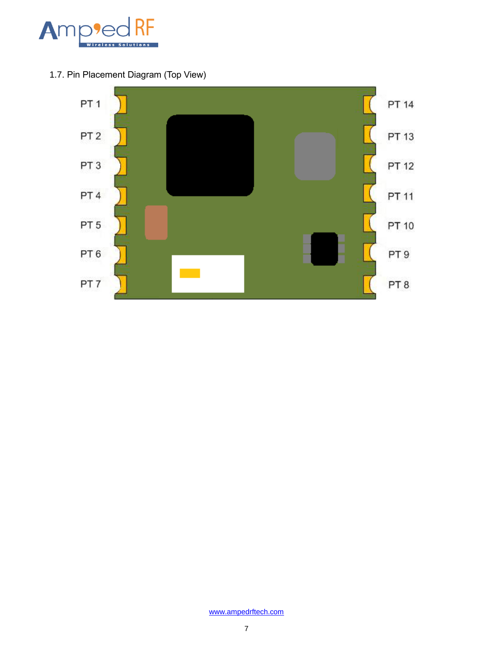

<span id="page-6-0"></span>1.7. Pin Placement Diagram (Top View)

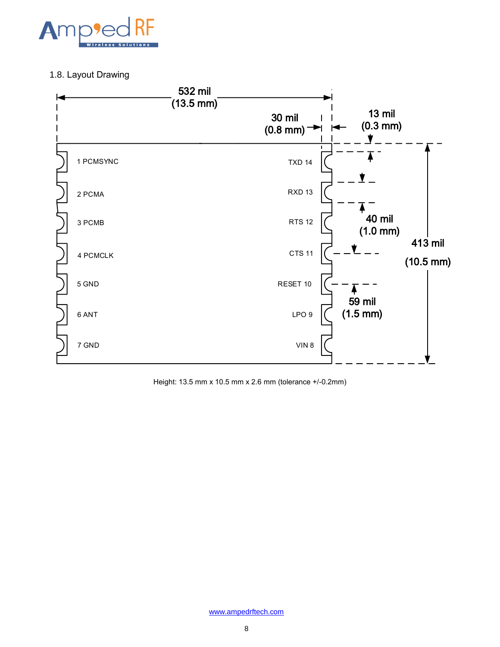

### <span id="page-7-0"></span>1.8. Layout Drawing



Height: 13.5 mm x 10.5 mm x 2.6 mm (tolerance +/-0.2mm)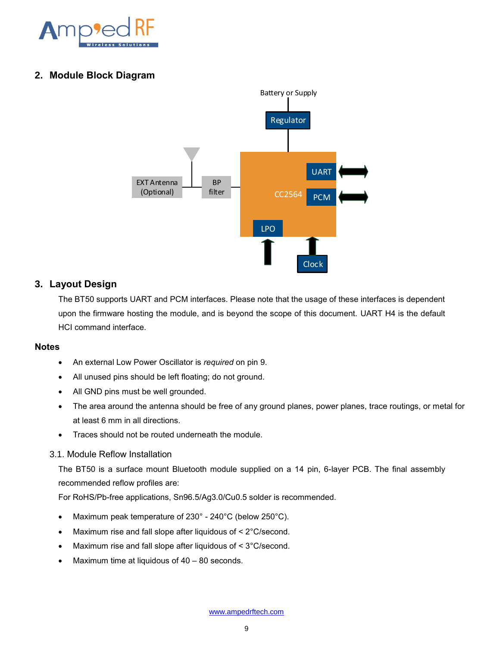

#### <span id="page-8-0"></span>**2. Module Block Diagram**



#### <span id="page-8-1"></span>**3. Layout Design**

The BT50 supports UART and PCM interfaces. Please note that the usage of these interfaces is dependent upon the firmware hosting the module, and is beyond the scope of this document. UART H4 is the default HCI command interface.

#### **Notes**

- An external Low Power Oscillator is *required* on pin 9.
- All unused pins should be left floating; do not ground.
- All GND pins must be well grounded.
- The area around the antenna should be free of any ground planes, power planes, trace routings, or metal for at least 6 mm in all directions.
- Traces should not be routed underneath the module.

#### <span id="page-8-2"></span>3.1. Module Reflow Installation

The BT50 is a surface mount Bluetooth module supplied on a 14 pin, 6-layer PCB. The final assembly recommended reflow profiles are:

For RoHS/Pb-free applications, Sn96.5/Ag3.0/Cu0.5 solder is recommended.

- Maximum peak temperature of 230° 240°C (below 250°C).
- Maximum rise and fall slope after liquidous of < 2°C/second.
- Maximum rise and fall slope after liquidous of < 3°C/second.
- $\bullet$  Maximum time at liquidous of  $40 80$  seconds.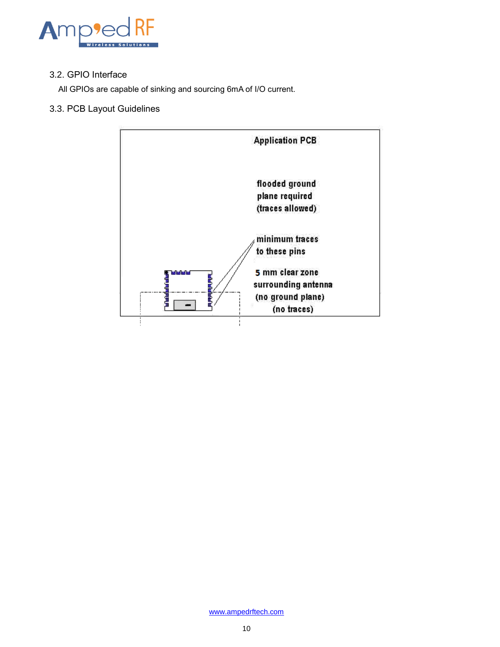

#### <span id="page-9-0"></span>3.2. GPIO Interface

All GPIOs are capable of sinking and sourcing 6mA of I/O current.

### <span id="page-9-1"></span>3.3. PCB Layout Guidelines

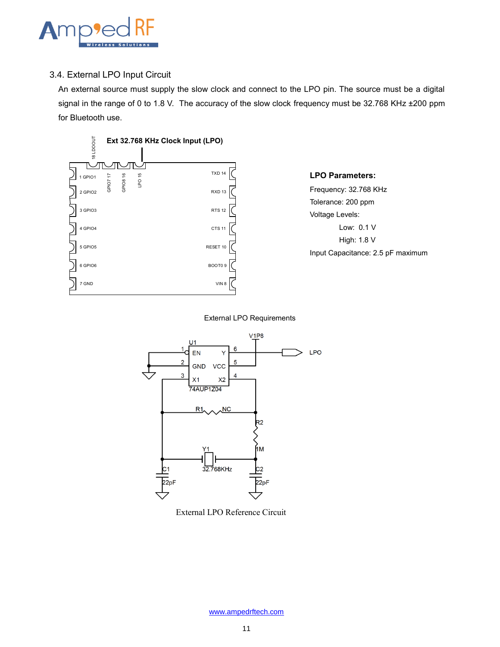

#### <span id="page-10-0"></span>3.4. External LPO Input Circuit

An external source must supply the slow clock and connect to the LPO pin. The source must be a digital signal in the range of 0 to 1.8 V. The accuracy of the slow clock frequency must be 32.768 KHz ±200 ppm for Bluetooth use.



## **LPO Parameters:** Frequency: 32.768 KHz

Tolerance: 200 ppm Voltage Levels: Low: 0.1 V High: 1.8 V Input Capacitance: 2.5 pF maximum

External LPO Requirements



External LPO Reference Circuit

[www.ampedrftech.com](http://www.ampedrftech.com/)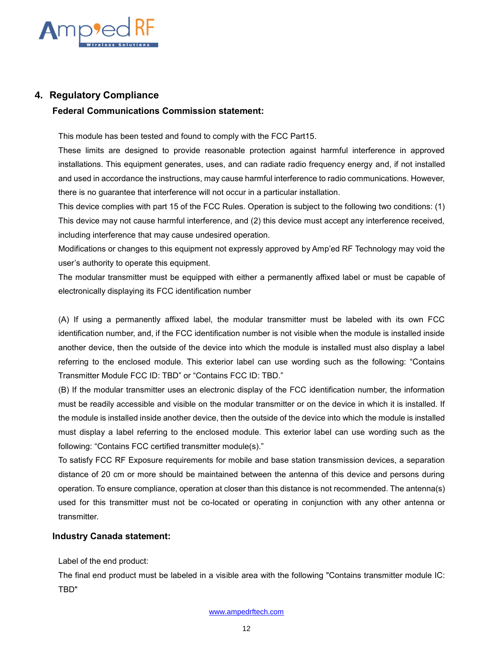

#### <span id="page-11-0"></span>**4. Regulatory Compliance**

#### **Federal Communications Commission statement:**

This module has been tested and found to comply with the FCC Part15.

These limits are designed to provide reasonable protection against harmful interference in approved installations. This equipment generates, uses, and can radiate radio frequency energy and, if not installed and used in accordance the instructions, may cause harmful interference to radio communications. However, there is no guarantee that interference will not occur in a particular installation.

This device complies with part 15 of the FCC Rules. Operation is subject to the following two conditions: (1) This device may not cause harmful interference, and (2) this device must accept any interference received, including interference that may cause undesired operation.

Modifications or changes to this equipment not expressly approved by Amp'ed RF Technology may void the user's authority to operate this equipment.

The modular transmitter must be equipped with either a permanently affixed label or must be capable of electronically displaying its FCC identification number

(A) If using a permanently affixed label, the modular transmitter must be labeled with its own FCC identification number, and, if the FCC identification number is not visible when the module is installed inside another device, then the outside of the device into which the module is installed must also display a label referring to the enclosed module. This exterior label can use wording such as the following: "Contains Transmitter Module FCC ID: TBD" or "Contains FCC ID: TBD."

(B) If the modular transmitter uses an electronic display of the FCC identification number, the information must be readily accessible and visible on the modular transmitter or on the device in which it is installed. If the module is installed inside another device, then the outside of the device into which the module is installed must display a label referring to the enclosed module. This exterior label can use wording such as the following: "Contains FCC certified transmitter module(s)."

To satisfy FCC RF Exposure requirements for mobile and base station transmission devices, a separation distance of 20 cm or more should be maintained between the antenna of this device and persons during operation. To ensure compliance, operation at closer than this distance is not recommended. The antenna(s) used for this transmitter must not be co-located or operating in conjunction with any other antenna or transmitter.

#### **Industry Canada statement:**

Label of the end product:

The final end product must be labeled in a visible area with the following "Contains transmitter module IC: TBD"